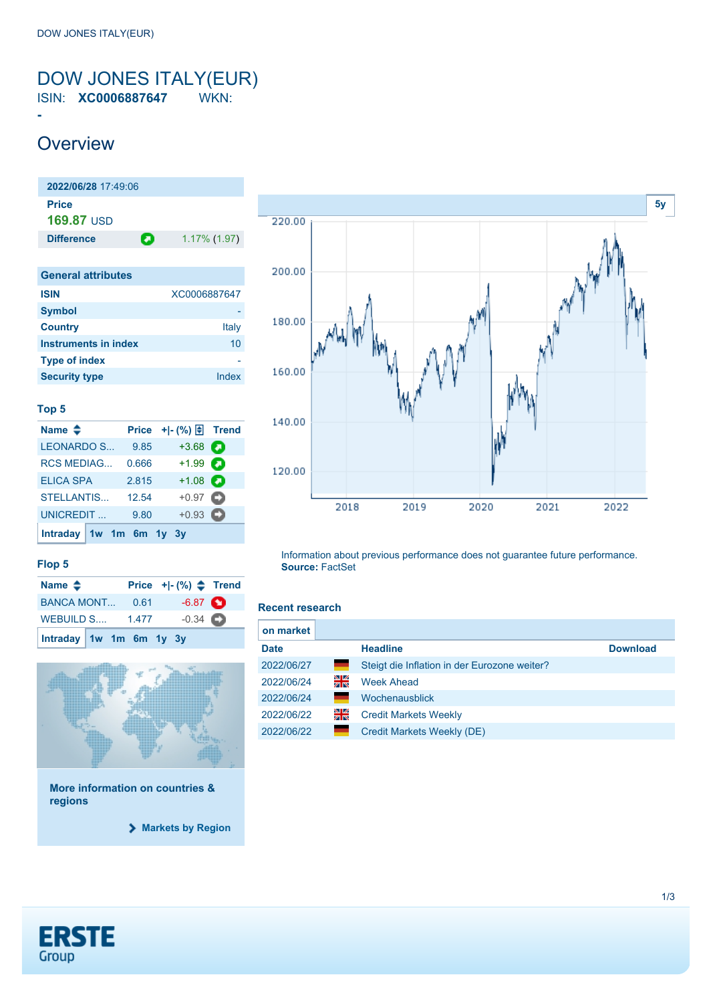## <span id="page-0-0"></span>DOW JONES ITALY(EUR) ISIN: **XC0006887647** WKN:

**Overview** 

**-**

| 2022/06/28 17:49:06        |                   |  |  |  |  |
|----------------------------|-------------------|--|--|--|--|
| Price<br><b>169.87 USD</b> |                   |  |  |  |  |
| <b>Difference</b>          | 1.17% (1.97)<br>О |  |  |  |  |
|                            |                   |  |  |  |  |
| <b>General attributes</b>  |                   |  |  |  |  |
| <b>ISIN</b>                | XC0006887647      |  |  |  |  |
| <b>Symbol</b>              |                   |  |  |  |  |
| <b>Country</b>             | Italy             |  |  |  |  |
| Instruments in index       | 10                |  |  |  |  |
|                            |                   |  |  |  |  |



#### **Top 5**

| Name $\triangleq$       | <b>Price</b> |         |    |
|-------------------------|--------------|---------|----|
| <b>LEONARDO S</b>       | 9.85         | $+3.68$ | О  |
| <b>RCS MEDIAG</b>       | 0.666        | $+1.99$ | О  |
| <b>ELICA SPA</b>        | 2.815        | $+1.08$ | О  |
| <b>STELLANTIS</b>       | 12.54        | $+0.97$ | E3 |
| <b>UNICREDIT</b>        | 9.80         | $+0.93$ | сэ |
| Intraday 1w 1m 6m 1y 3y |              |         |    |



### **Flop 5**

| Name $\triangle$          |       | Price $+[-(%) \triangleq$ Trend |  |
|---------------------------|-------|---------------------------------|--|
| BANCA MONT 0.61           |       | $-6.87$ $\bullet$               |  |
| WEBUILD S                 | 1.477 | $-0.34$ $\bullet$               |  |
| Intraday   1w 1m 6m 1y 3y |       |                                 |  |



**More information on countries & regions**

**[Markets by Region](https://de.products.erstegroup.com/Retail/en/MarketsAndTrends/Markets_by_Region/index.phtml)**



#### **Recent research**

| on market   |    |                                              |                 |
|-------------|----|----------------------------------------------|-----------------|
| <b>Date</b> |    | <b>Headline</b>                              | <b>Download</b> |
| 2022/06/27  | ۰  | Steigt die Inflation in der Eurozone weiter? |                 |
| 2022/06/24  | 읡  | <b>Week Ahead</b>                            |                 |
| 2022/06/24  | œ  | Wochenausblick                               |                 |
| 2022/06/22  | 꾉뚢 | <b>Credit Markets Weekly</b>                 |                 |
| 2022/06/22  | œ  | Credit Markets Weekly (DE)                   |                 |
|             |    |                                              |                 |

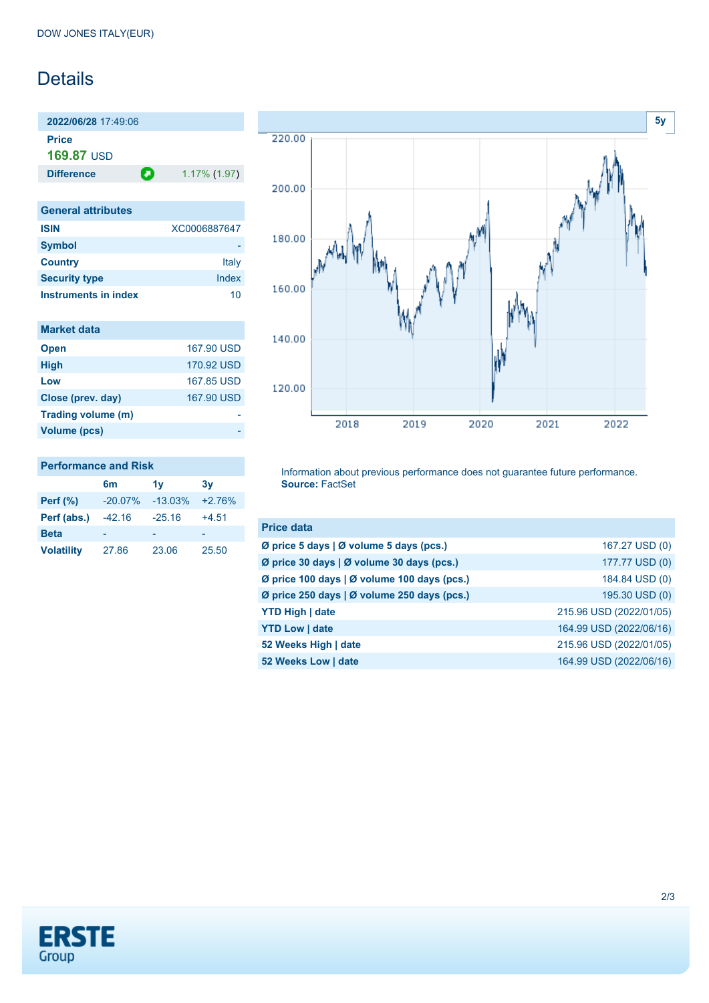## Details

**2022/06/28** 17:49:06 **Price 169.87** USD

**Difference 1.17% (1.97)** 

| <b>General attributes</b> |              |
|---------------------------|--------------|
| <b>ISIN</b>               | XC0006887647 |
| <b>Symbol</b>             |              |
| <b>Country</b>            | Italy        |
| <b>Security type</b>      | Index        |
| Instruments in index      | 10           |

| <b>Market data</b> |            |
|--------------------|------------|
| <b>Open</b>        | 167.90 USD |
| <b>High</b>        | 170.92 USD |
| Low                | 167.85 USD |
| Close (prev. day)  | 167.90 USD |
| Trading volume (m) |            |
| Volume (pcs)       |            |



### **Performance and Risk**

|                   | 6 <sub>m</sub> | 1v        | 3v       |
|-------------------|----------------|-----------|----------|
| <b>Perf (%)</b>   | $-20.07\%$     | $-13.03%$ | $+2.76%$ |
| Perf (abs.)       | $-42.16$       | $-25.16$  | $+4.51$  |
| <b>Beta</b>       | -              | -         |          |
| <b>Volatility</b> | 27.86          | 23.06     | 25.50    |

Information about previous performance does not guarantee future performance. **Source:** FactSet

| <b>Price data</b>                           |                         |
|---------------------------------------------|-------------------------|
| Ø price 5 days   Ø volume 5 days (pcs.)     | 167.27 USD (0)          |
| Ø price 30 days   Ø volume 30 days (pcs.)   | 177.77 USD (0)          |
| Ø price 100 days   Ø volume 100 days (pcs.) | 184.84 USD (0)          |
| Ø price 250 days   Ø volume 250 days (pcs.) | 195.30 USD (0)          |
| <b>YTD High   date</b>                      | 215.96 USD (2022/01/05) |
| <b>YTD Low   date</b>                       | 164.99 USD (2022/06/16) |
| 52 Weeks High   date                        | 215.96 USD (2022/01/05) |
| 52 Weeks Low   date                         | 164.99 USD (2022/06/16) |